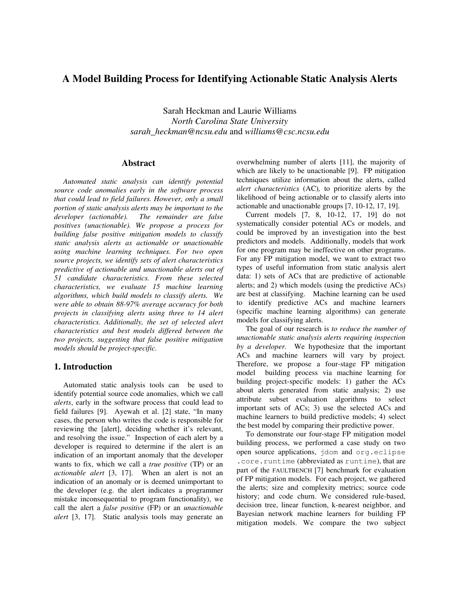# **A Model Building Process for Identifying Actionable Static Analysis Alerts**

Sarah Heckman and Laurie Williams *North Carolina State University sarah\_heckman@ncsu.edu* and *williams@csc.ncsu.edu* 

## **Abstract**

*Automated static analysis can identify potential source code anomalies early in the software process that could lead to field failures. However, only a small portion of static analysis alerts may be important to the developer (actionable). The remainder are false positives (unactionable). We propose a process for building false positive mitigation models to classify static analysis alerts as actionable or unactionable using machine learning techniques. For two open source projects, we identify sets of alert characteristics predictive of actionable and unactionable alerts out of 51 candidate characteristics. From these selected characteristics, we evaluate 15 machine learning algorithms, which build models to classify alerts. We were able to obtain 88-97% average accuracy for both projects in classifying alerts using three to 14 alert characteristics. Additionally, the set of selected alert characteristics and best models differed between the two projects, suggesting that false positive mitigation models should be project-specific.* 

## **1. Introduction**

Automated static analysis tools can be used to identify potential source code anomalies, which we call *alerts*, early in the software process that could lead to field failures [9]. Ayewah et al. [2] state, "In many cases, the person who writes the code is responsible for reviewing the [alert], deciding whether it's relevant, and resolving the issue." Inspection of each alert by a developer is required to determine if the alert is an indication of an important anomaly that the developer wants to fix, which we call a *true positive* (TP) or an *actionable alert* [3, 17]. When an alert is not an indication of an anomaly or is deemed unimportant to the developer (e.g. the alert indicates a programmer mistake inconsequential to program functionality), we call the alert a *false positive* (FP) or an *unactionable alert* [3, 17]. Static analysis tools may generate an overwhelming number of alerts [11], the majority of which are likely to be unactionable [9]. FP mitigation techniques utilize information about the alerts, called *alert characteristics* (AC)*,* to prioritize alerts by the likelihood of being actionable or to classify alerts into actionable and unactionable groups [7, 10-12, 17, 19].

Current models [7, 8, 10-12, 17, 19] do not systematically consider potential ACs or models, and could be improved by an investigation into the best predictors and models. Additionally, models that work for one program may be ineffective on other programs. For any FP mitigation model, we want to extract two types of useful information from static analysis alert data: 1) sets of ACs that are predictive of actionable alerts; and 2) which models (using the predictive ACs) are best at classifying. Machine learning can be used to identify predictive ACs and machine learners (specific machine learning algorithms) can generate models for classifying alerts.

The goal of our research is *to reduce the number of unactionable static analysis alerts requiring inspection by a developer.* We hypothesize that the important ACs and machine learners will vary by project*.*  Therefore, we propose a four-stage FP mitigation model building process via machine learning for building project-specific models: 1) gather the ACs about alerts generated from static analysis; 2) use attribute subset evaluation algorithms to select important sets of ACs; 3) use the selected ACs and machine learners to build predictive models; 4) select the best model by comparing their predictive power.

To demonstrate our four-stage FP mitigation model building process, we performed a case study on two open source applications, jdom and org.eclipse .core.runtime (abbreviated as runtime), that are part of the FAULTBENCH [7] benchmark for evaluation of FP mitigation models. For each project, we gathered the alerts; size and complexity metrics; source code history; and code churn. We considered rule-based, decision tree, linear function, k-nearest neighbor, and Bayesian network machine learners for building FP mitigation models. We compare the two subject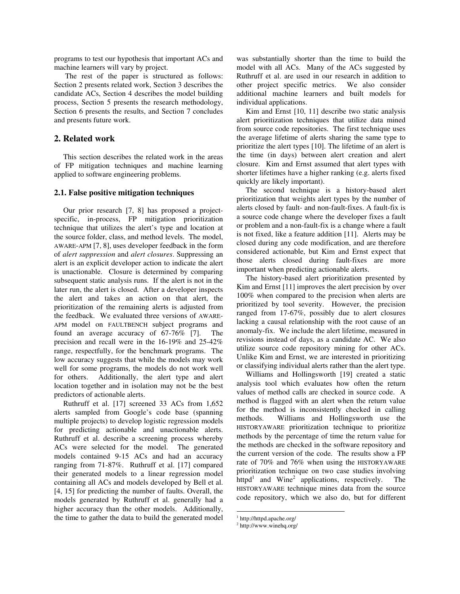programs to test our hypothesis that important ACs and machine learners will vary by project.

 The rest of the paper is structured as follows: Section 2 presents related work, Section 3 describes the candidate ACs, Section 4 describes the model building process, Section 5 presents the research methodology, Section 6 presents the results, and Section 7 concludes and presents future work.

## **2. Related work**

This section describes the related work in the areas of FP mitigation techniques and machine learning applied to software engineering problems.

#### **2.1. False positive mitigation techniques**

Our prior research [7, 8] has proposed a projectspecific, in-process, FP mitigation prioritization technique that utilizes the alert's type and location at the source folder, class, and method levels. The model, AWARE-APM [7, 8], uses developer feedback in the form of *alert suppression* and *alert closures*. Suppressing an alert is an explicit developer action to indicate the alert is unactionable. Closure is determined by comparing subsequent static analysis runs. If the alert is not in the later run, the alert is closed. After a developer inspects the alert and takes an action on that alert, the prioritization of the remaining alerts is adjusted from the feedback. We evaluated three versions of AWARE-APM model on FAULTBENCH subject programs and found an average accuracy of 67-76% [7]. The precision and recall were in the 16-19% and 25-42% range, respectfully, for the benchmark programs. The low accuracy suggests that while the models may work well for some programs, the models do not work well for others. Additionally, the alert type and alert location together and in isolation may not be the best predictors of actionable alerts.

Ruthruff et al. [17] screened 33 ACs from 1,652 alerts sampled from Google's code base (spanning multiple projects) to develop logistic regression models for predicting actionable and unactionable alerts. Ruthruff et al. describe a screening process whereby ACs were selected for the model. The generated models contained 9-15 ACs and had an accuracy ranging from 71-87%. Ruthruff et al. [17] compared their generated models to a linear regression model containing all ACs and models developed by Bell et al. [4, 15] for predicting the number of faults. Overall, the models generated by Ruthruff et al. generally had a higher accuracy than the other models. Additionally, the time to gather the data to build the generated model was substantially shorter than the time to build the model with all ACs. Many of the ACs suggested by Ruthruff et al. are used in our research in addition to other project specific metrics. We also consider additional machine learners and built models for individual applications.

Kim and Ernst [10, 11] describe two static analysis alert prioritization techniques that utilize data mined from source code repositories. The first technique uses the average lifetime of alerts sharing the same type to prioritize the alert types [10]. The lifetime of an alert is the time (in days) between alert creation and alert closure. Kim and Ernst assumed that alert types with shorter lifetimes have a higher ranking (e.g. alerts fixed quickly are likely important).

The second technique is a history-based alert prioritization that weights alert types by the number of alerts closed by fault- and non-fault-fixes. A fault-fix is a source code change where the developer fixes a fault or problem and a non-fault-fix is a change where a fault is not fixed, like a feature addition [11]. Alerts may be closed during any code modification, and are therefore considered actionable, but Kim and Ernst expect that those alerts closed during fault-fixes are more important when predicting actionable alerts.

The history-based alert prioritization presented by Kim and Ernst [11] improves the alert precision by over 100% when compared to the precision when alerts are prioritized by tool severity. However, the precision ranged from 17-67%, possibly due to alert closures lacking a causal relationship with the root cause of an anomaly-fix. We include the alert lifetime, measured in revisions instead of days, as a candidate AC. We also utilize source code repository mining for other ACs. Unlike Kim and Ernst, we are interested in prioritizing or classifying individual alerts rather than the alert type.

Williams and Hollingsworth [19] created a static analysis tool which evaluates how often the return values of method calls are checked in source code. A method is flagged with an alert when the return value for the method is inconsistently checked in calling methods. Williams and Hollingsworth use the HISTORYAWARE prioritization technique to prioritize methods by the percentage of time the return value for the methods are checked in the software repository and the current version of the code. The results show a FP rate of 70% and 76% when using the HISTORYAWARE prioritization technique on two case studies involving  ${\rm httpd}^1$  and Wine<sup>2</sup> applications, respectively. The HISTORYAWARE technique mines data from the source code repository, which we also do, but for different

 $\overline{a}$ 

<sup>1</sup> http://httpd.apache.org/

<sup>&</sup>lt;sup>2</sup> http://www.winehq.org/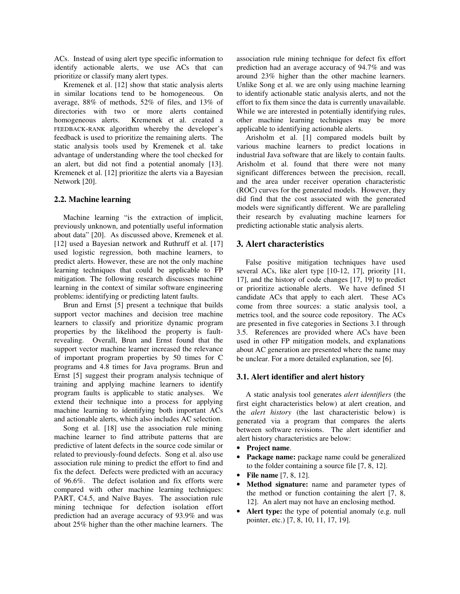ACs. Instead of using alert type specific information to identify actionable alerts, we use ACs that can prioritize or classify many alert types.

Kremenek et al. [12] show that static analysis alerts in similar locations tend to be homogeneous. On average, 88% of methods, 52% of files, and 13% of directories with two or more alerts contained homogeneous alerts. Kremenek et al. created a FEEDBACK-RANK algorithm whereby the developer's feedback is used to prioritize the remaining alerts. The static analysis tools used by Kremenek et al. take advantage of understanding where the tool checked for an alert, but did not find a potential anomaly [13]. Kremenek et al. [12] prioritize the alerts via a Bayesian Network [20].

#### **2.2. Machine learning**

Machine learning "is the extraction of implicit, previously unknown, and potentially useful information about data" [20]. As discussed above, Kremenek et al. [12] used a Bayesian network and Ruthruff et al. [17] used logistic regression, both machine learners, to predict alerts. However, these are not the only machine learning techniques that could be applicable to FP mitigation. The following research discusses machine learning in the context of similar software engineering problems: identifying or predicting latent faults.

Brun and Ernst [5] present a technique that builds support vector machines and decision tree machine learners to classify and prioritize dynamic program properties by the likelihood the property is faultrevealing. Overall, Brun and Ernst found that the support vector machine learner increased the relevance of important program properties by 50 times for C programs and 4.8 times for Java programs. Brun and Ernst [5] suggest their program analysis technique of training and applying machine learners to identify program faults is applicable to static analyses. We extend their technique into a process for applying machine learning to identifying both important ACs and actionable alerts, which also includes AC selection.

Song et al. [18] use the association rule mining machine learner to find attribute patterns that are predictive of latent defects in the source code similar or related to previously-found defects. Song et al. also use association rule mining to predict the effort to find and fix the defect. Defects were predicted with an accuracy of 96.6%. The defect isolation and fix efforts were compared with other machine learning techniques: PART, C4.5, and Naïve Bayes. The association rule mining technique for defection isolation effort prediction had an average accuracy of 93.9% and was about 25% higher than the other machine learners. The association rule mining technique for defect fix effort prediction had an average accuracy of 94.7% and was around 23% higher than the other machine learners. Unlike Song et al. we are only using machine learning to identify actionable static analysis alerts, and not the effort to fix them since the data is currently unavailable. While we are interested in potentially identifying rules, other machine learning techniques may be more applicable to identifying actionable alerts.

Arisholm et al. [1] compared models built by various machine learners to predict locations in industrial Java software that are likely to contain faults. Arisholm et al. found that there were not many significant differences between the precision, recall, and the area under receiver operation characteristic (ROC) curves for the generated models. However, they did find that the cost associated with the generated models were significantly different. We are paralleling their research by evaluating machine learners for predicting actionable static analysis alerts.

## **3. Alert characteristics**

False positive mitigation techniques have used several ACs, like alert type [10-12, 17], priority [11, 17], and the history of code changes [17, 19] to predict or prioritize actionable alerts. We have defined 51 candidate ACs that apply to each alert. These ACs come from three sources: a static analysis tool, a metrics tool, and the source code repository. The ACs are presented in five categories in Sections 3.1 through 3.5. References are provided where ACs have been used in other FP mitigation models, and explanations about AC generation are presented where the name may be unclear. For a more detailed explanation, see [6].

#### **3.1. Alert identifier and alert history**

A static analysis tool generates *alert identifiers* (the first eight characteristics below) at alert creation, and the *alert history* (the last characteristic below) is generated via a program that compares the alerts between software revisions. The alert identifier and alert history characteristics are below:

- **Project name**.
- **Package name:** package name could be generalized to the folder containing a source file [7, 8, 12].
- **File name** [7, 8, 12].
- **Method signature:** name and parameter types of the method or function containing the alert [7, 8, 12]. An alert may not have an enclosing method.
- **Alert type:** the type of potential anomaly (e.g. null pointer, etc.) [7, 8, 10, 11, 17, 19].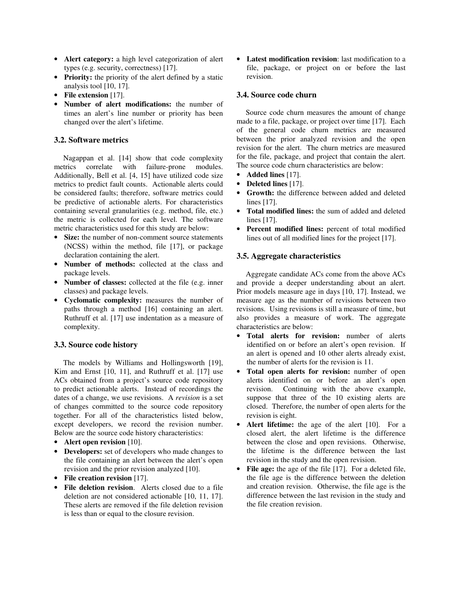- **Alert category:** a high level categorization of alert types (e.g. security, correctness) [17].
- **Priority:** the priority of the alert defined by a static analysis tool [10, 17].
- **File extension** [17].
- **Number of alert modifications:** the number of times an alert's line number or priority has been changed over the alert's lifetime.

## **3.2. Software metrics**

Nagappan et al. [14] show that code complexity metrics correlate with failure-prone modules. Additionally, Bell et al. [4, 15] have utilized code size metrics to predict fault counts. Actionable alerts could be considered faults; therefore, software metrics could be predictive of actionable alerts. For characteristics containing several granularities (e.g. method, file, etc.) the metric is collected for each level. The software metric characteristics used for this study are below:

- **Size:** the number of non-comment source statements (NCSS) within the method, file [17], or package declaration containing the alert.
- **Number of methods:** collected at the class and package levels.
- **Number of classes:** collected at the file (e.g. inner classes) and package levels.
- **Cyclomatic complexity:** measures the number of paths through a method [16] containing an alert. Ruthruff et al. [17] use indentation as a measure of complexity.

### **3.3. Source code history**

The models by Williams and Hollingsworth [19], Kim and Ernst [10, 11], and Ruthruff et al. [17] use ACs obtained from a project's source code repository to predict actionable alerts. Instead of recordings the dates of a change, we use revisions. A *revision* is a set of changes committed to the source code repository together. For all of the characteristics listed below, except developers, we record the revision number. Below are the source code history characteristics:

- **Alert open revision** [10].
- **Developers:** set of developers who made changes to the file containing an alert between the alert's open revision and the prior revision analyzed [10].
- **File creation revision** [17].
- **File deletion revision**. Alerts closed due to a file deletion are not considered actionable [10, 11, 17]. These alerts are removed if the file deletion revision is less than or equal to the closure revision.

• **Latest modification revision**: last modification to a file, package, or project on or before the last revision.

## **3.4. Source code churn**

Source code churn measures the amount of change made to a file, package, or project over time [17]. Each of the general code churn metrics are measured between the prior analyzed revision and the open revision for the alert. The churn metrics are measured for the file, package, and project that contain the alert. The source code churn characteristics are below:

- **Added lines** [17].
- **Deleted lines** [17].
- **Growth:** the difference between added and deleted lines [17].
- **Total modified lines:** the sum of added and deleted lines [17].
- **Percent modified lines:** percent of total modified lines out of all modified lines for the project [17].

### **3.5. Aggregate characteristics**

Aggregate candidate ACs come from the above ACs and provide a deeper understanding about an alert. Prior models measure age in days [10, 17]. Instead, we measure age as the number of revisions between two revisions. Using revisions is still a measure of time, but also provides a measure of work. The aggregate characteristics are below:

- **Total alerts for revision:** number of alerts identified on or before an alert's open revision. If an alert is opened and 10 other alerts already exist, the number of alerts for the revision is 11.
- **Total open alerts for revision:** number of open alerts identified on or before an alert's open revision. Continuing with the above example, suppose that three of the 10 existing alerts are closed. Therefore, the number of open alerts for the revision is eight.
- **Alert lifetime:** the age of the alert [10]. For a closed alert, the alert lifetime is the difference between the close and open revisions. Otherwise, the lifetime is the difference between the last revision in the study and the open revision.
- **File age:** the age of the file [17]. For a deleted file, the file age is the difference between the deletion and creation revision. Otherwise, the file age is the difference between the last revision in the study and the file creation revision.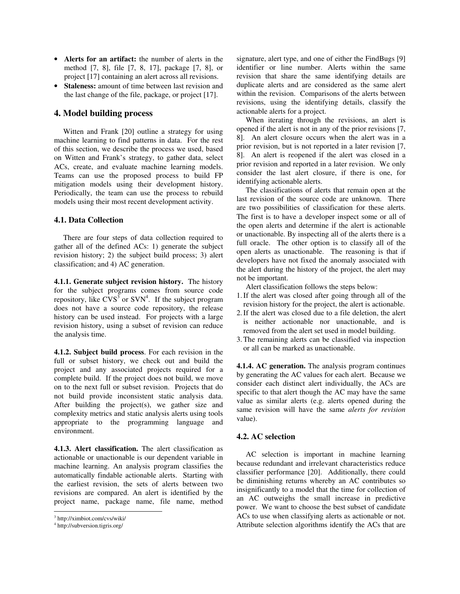- **Alerts for an artifact:** the number of alerts in the method [7, 8], file [7, 8, 17], package [7, 8], or project [17] containing an alert across all revisions.
- **Staleness:** amount of time between last revision and the last change of the file, package, or project [17].

## **4. Model building process**

Witten and Frank [20] outline a strategy for using machine learning to find patterns in data. For the rest of this section, we describe the process we used, based on Witten and Frank's strategy, to gather data, select ACs, create, and evaluate machine learning models. Teams can use the proposed process to build FP mitigation models using their development history. Periodically, the team can use the process to rebuild models using their most recent development activity.

#### **4.1. Data Collection**

There are four steps of data collection required to gather all of the defined ACs: 1) generate the subject revision history; 2) the subject build process; 3) alert classification; and 4) AC generation.

**4.1.1. Generate subject revision history.** The history for the subject programs comes from source code repository, like  $CVS<sup>3</sup>$  or SVN<sup>4</sup>. If the subject program does not have a source code repository, the release history can be used instead. For projects with a large revision history, using a subset of revision can reduce the analysis time.

**4.1.2. Subject build process**. For each revision in the full or subset history, we check out and build the project and any associated projects required for a complete build. If the project does not build, we move on to the next full or subset revision. Projects that do not build provide inconsistent static analysis data. After building the project(s), we gather size and complexity metrics and static analysis alerts using tools appropriate to the programming language and environment.

**4.1.3. Alert classification.** The alert classification as actionable or unactionable is our dependent variable in machine learning. An analysis program classifies the automatically findable actionable alerts. Starting with the earliest revision, the sets of alerts between two revisions are compared. An alert is identified by the project name, package name, file name, method

-

signature, alert type, and one of either the FindBugs [9] identifier or line number. Alerts within the same revision that share the same identifying details are duplicate alerts and are considered as the same alert within the revision. Comparisons of the alerts between revisions, using the identifying details, classify the actionable alerts for a project.

When iterating through the revisions, an alert is opened if the alert is not in any of the prior revisions [7, 8]. An alert closure occurs when the alert was in a prior revision, but is not reported in a later revision [7, 8]. An alert is reopened if the alert was closed in a prior revision and reported in a later revision. We only consider the last alert closure, if there is one, for identifying actionable alerts.

The classifications of alerts that remain open at the last revision of the source code are unknown. There are two possibilities of classification for these alerts. The first is to have a developer inspect some or all of the open alerts and determine if the alert is actionable or unactionable. By inspecting all of the alerts there is a full oracle. The other option is to classify all of the open alerts as unactionable. The reasoning is that if developers have not fixed the anomaly associated with the alert during the history of the project, the alert may not be important.

Alert classification follows the steps below:

- 1.If the alert was closed after going through all of the revision history for the project, the alert is actionable.
- 2.If the alert was closed due to a file deletion, the alert is neither actionable nor unactionable, and is removed from the alert set used in model building.
- 3.The remaining alerts can be classified via inspection or all can be marked as unactionable.

**4.1.4. AC generation.** The analysis program continues by generating the AC values for each alert. Because we consider each distinct alert individually, the ACs are specific to that alert though the AC may have the same value as similar alerts (e.g. alerts opened during the same revision will have the same *alerts for revision* value).

### **4.2. AC selection**

AC selection is important in machine learning because redundant and irrelevant characteristics reduce classifier performance [20]. Additionally, there could be diminishing returns whereby an AC contributes so insignificantly to a model that the time for collection of an AC outweighs the small increase in predictive power. We want to choose the best subset of candidate ACs to use when classifying alerts as actionable or not. Attribute selection algorithms identify the ACs that are

<sup>3</sup> http://ximbiot.com/cvs/wiki/

<sup>4</sup> http://subversion.tigris.org/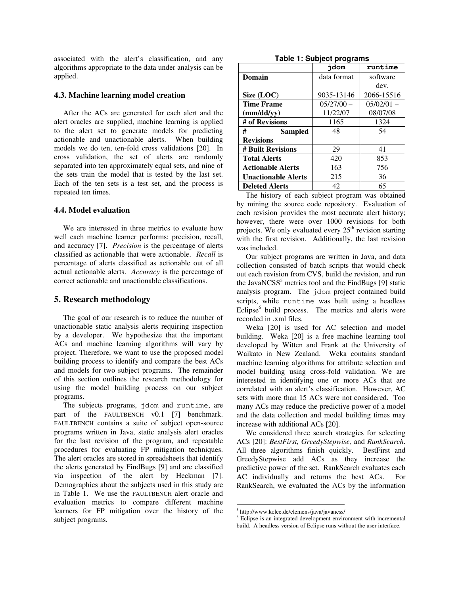associated with the alert's classification, and any algorithms appropriate to the data under analysis can be applied.

#### **4.3. Machine learning model creation**

After the ACs are generated for each alert and the alert oracles are supplied, machine learning is applied to the alert set to generate models for predicting actionable and unactionable alerts. When building models we do ten, ten-fold cross validations [20]. In cross validation, the set of alerts are randomly separated into ten approximately equal sets, and nine of the sets train the model that is tested by the last set. Each of the ten sets is a test set, and the process is repeated ten times.

## **4.4. Model evaluation**

We are interested in three metrics to evaluate how well each machine learner performs: precision, recall, and accuracy [7]. *Precision* is the percentage of alerts classified as actionable that were actionable. *Recall* is percentage of alerts classified as actionable out of all actual actionable alerts. *Accuracy* is the percentage of correct actionable and unactionable classifications.

#### **5. Research methodology**

The goal of our research is to reduce the number of unactionable static analysis alerts requiring inspection by a developer. We hypothesize that the important ACs and machine learning algorithms will vary by project. Therefore, we want to use the proposed model building process to identify and compare the best ACs and models for two subject programs. The remainder of this section outlines the research methodology for using the model building process on our subject programs.

The subjects programs, jdom and runtime, are part of the FAULTBENCH v0.1 [7] benchmark. FAULTBENCH contains a suite of subject open-source programs written in Java, static analysis alert oracles for the last revision of the program, and repeatable procedures for evaluating FP mitigation techniques. The alert oracles are stored in spreadsheets that identify the alerts generated by FindBugs [9] and are classified via inspection of the alert by Heckman [7]. Demographics about the subjects used in this study are in Table 1. We use the FAULTBENCH alert oracle and evaluation metrics to compare different machine learners for FP mitigation over the history of the subject programs.

**Table 1: Subject programs** 

|                            | jdom         | runtime      |  |
|----------------------------|--------------|--------------|--|
| <b>Domain</b>              | data format  | software     |  |
|                            |              | dev.         |  |
| Size (LOC)                 | 9035-13146   | 2066-15516   |  |
| <b>Time Frame</b>          | $05/27/00 -$ | $05/02/01 -$ |  |
| (mm/dd/yy)                 | 11/22/07     | 08/07/08     |  |
| # of Revisions             | 1165         | 1324         |  |
| #<br><b>Sampled</b>        | 48           | 54           |  |
| <b>Revisions</b>           |              |              |  |
| # Built Revisions          | 29           | 41           |  |
| <b>Total Alerts</b>        | 420          | 853          |  |
| <b>Actionable Alerts</b>   | 163          | 756          |  |
| <b>Unactionable Alerts</b> | 215          | 36           |  |
| <b>Deleted Alerts</b>      | 42           | 65           |  |

The history of each subject program was obtained by mining the source code repository. Evaluation of each revision provides the most accurate alert history; however, there were over 1000 revisions for both projects. We only evaluated every  $25<sup>th</sup>$  revision starting with the first revision. Additionally, the last revision was included.

Our subject programs are written in Java, and data collection consisted of batch scripts that would check out each revision from CVS, build the revision, and run the JavaNCSS<sup>5</sup> metrics tool and the FindBugs [9] static analysis program. The jdom project contained build scripts, while runtime was built using a headless Eclipse<sup>6</sup> build process. The metrics and alerts were recorded in .xml files.

Weka [20] is used for AC selection and model building. Weka [20] is a free machine learning tool developed by Witten and Frank at the University of Waikato in New Zealand. Weka contains standard machine learning algorithms for attribute selection and model building using cross-fold validation. We are interested in identifying one or more ACs that are correlated with an alert's classification. However, AC sets with more than 15 ACs were not considered. Too many ACs may reduce the predictive power of a model and the data collection and model building times may increase with additional ACs [20].

We considered three search strategies for selecting ACs [20]: *BestFirst, GreedyStepwise,* and *RankSearch*. All three algorithms finish quickly. BestFirst and GreedyStepwise add ACs as they increase the predictive power of the set. RankSearch evaluates each AC individually and returns the best ACs. For RankSearch, we evaluated the ACs by the information

 $\overline{a}$ 

<sup>5</sup> http://www.kclee.de/clemens/java/javancss/

<sup>6</sup> Eclipse is an integrated development environment with incremental build. A headless version of Eclipse runs without the user interface.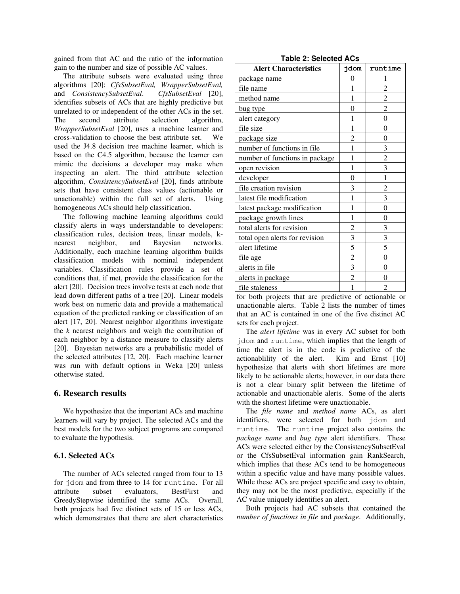gained from that AC and the ratio of the information gain to the number and size of possible AC values.

The attribute subsets were evaluated using three algorithms [20]: *CfsSubsetEval, WrapperSubsetEval,*  and *ConsistencySubsetEval*. *CfsSubsetEval* [20], identifies subsets of ACs that are highly predictive but unrelated to or independent of the other ACs in the set. The second attribute selection algorithm, *WrapperSubsetEval* [20], uses a machine learner and cross-validation to choose the best attribute set. We used the J4.8 decision tree machine learner, which is based on the C4.5 algorithm, because the learner can mimic the decisions a developer may make when inspecting an alert. The third attribute selection algorithm, *ConsistencySubsetEval* [20], finds attribute sets that have consistent class values (actionable or unactionable) within the full set of alerts. Using homogeneous ACs should help classification.

The following machine learning algorithms could classify alerts in ways understandable to developers: classification rules, decision trees, linear models, knearest neighbor, and Bayesian networks. Additionally, each machine learning algorithm builds classification models with nominal independent variables. Classification rules provide a set of conditions that, if met, provide the classification for the alert [20]. Decision trees involve tests at each node that lead down different paths of a tree [20]. Linear models work best on numeric data and provide a mathematical equation of the predicted ranking or classification of an alert [17, 20]. Nearest neighbor algorithms investigate the *k* nearest neighbors and weigh the contribution of each neighbor by a distance measure to classify alerts [20]. Bayesian networks are a probabilistic model of the selected attributes [12, 20]. Each machine learner was run with default options in Weka [20] unless otherwise stated.

## **6. Research results**

We hypothesize that the important ACs and machine learners will vary by project. The selected ACs and the best models for the two subject programs are compared to evaluate the hypothesis.

#### **6.1. Selected ACs**

The number of ACs selected ranged from four to 13 for jdom and from three to 14 for runtime. For all attribute subset evaluators, BestFirst and GreedyStepwise identified the same ACs. Overall, both projects had five distinct sets of 15 or less ACs, which demonstrates that there are alert characteristics

| <b>Table 2: Selected ACs</b> |  |
|------------------------------|--|
|------------------------------|--|

| <b>Alert Characteristics</b>   | jdom           | runtime        |
|--------------------------------|----------------|----------------|
| package name                   | 0              | 1              |
| file name                      | 1              | $\overline{c}$ |
| method name                    | 1              | $\overline{c}$ |
| bug type                       | $\Omega$       | $\overline{2}$ |
| alert category                 | 1              | 0              |
| file size                      | 1              | 0              |
| package size                   | $\overline{2}$ | 0              |
| number of functions in file    | 1              | 3              |
| number of functions in package | 1              | $\overline{c}$ |
| open revision                  | 1              | 3              |
| developer                      | 0              | 1              |
| file creation revision         | 3              | $\overline{2}$ |
| latest file modification       | 1              | 3              |
| latest package modification    | 1              | 0              |
| package growth lines           | 1              | 0              |
| total alerts for revision      | $\overline{c}$ | 3              |
| total open alerts for revision | 3              | 3              |
| alert lifetime                 | 5              | 5              |
| file age                       | $\overline{2}$ | $\Omega$       |
| alerts in file                 | 3              | 0              |
| alerts in package              | $\overline{c}$ | 0              |
| file staleness                 | 1              | $\overline{c}$ |

for both projects that are predictive of actionable or unactionable alerts. Table 2 lists the number of times that an AC is contained in one of the five distinct AC sets for each project.

The *alert lifetime* was in every AC subset for both jdom and runtime, which implies that the length of time the alert is in the code is predictive of the actionablility of the alert. Kim and Ernst [10] hypothesize that alerts with short lifetimes are more likely to be actionable alerts; however, in our data there is not a clear binary split between the lifetime of actionable and unactionable alerts. Some of the alerts with the shortest lifetime were unactionable.

The *file name* and *method name* ACs, as alert identifiers, were selected for both jdom and runtime. The runtime project also contains the *package name* and *bug type* alert identifiers. These ACs were selected either by the ConsistencySubsetEval or the CfsSubsetEval information gain RankSearch, which implies that these ACs tend to be homogeneous within a specific value and have many possible values. While these ACs are project specific and easy to obtain, they may not be the most predictive, especially if the AC value uniquely identifies an alert.

Both projects had AC subsets that contained the *number of functions in file* and *package*. Additionally,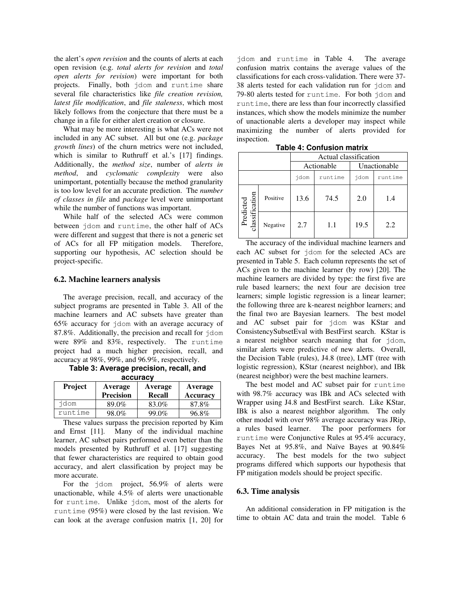the alert's *open revision* and the counts of alerts at each open revision (e.g. *total alerts for revision* and *total open alerts for revision*) were important for both projects. Finally, both jdom and runtime share several file characteristics like *file creation revision, latest file modification*, and *file staleness*, which most likely follows from the conjecture that there must be a change in a file for either alert creation or closure.

What may be more interesting is what ACs were not included in any AC subset. All but one (e.g. *package growth lines*) of the churn metrics were not included, which is similar to Ruthruff et al.'s [17] findings. Additionally, the *method size*, number of *alerts in method*, and *cyclomatic complexity* were also unimportant, potentially because the method granularity is too low level for an accurate prediction. The *number of classes in file* and *package* level were unimportant while the number of functions was important.

While half of the selected ACs were common between jdom and runtime, the other half of ACs were different and suggest that there is not a generic set of ACs for all FP mitigation models. Therefore, supporting our hypothesis, AC selection should be project-specific.

#### **6.2. Machine learners analysis**

The average precision, recall, and accuracy of the subject programs are presented in Table 3. All of the machine learners and AC subsets have greater than 65% accuracy for jdom with an average accuracy of 87.8%. Additionally, the precision and recall for jdom were 89% and 83%, respectively. The runtime project had a much higher precision, recall, and accuracy at 98%, 99%, and 96.9%, respectively.

**Table 3: Average precision, recall, and accuracy** 

| <b>Project</b> | Average<br><b>Precision</b> | Average<br><b>Recall</b> | Average<br>Accuracy |
|----------------|-----------------------------|--------------------------|---------------------|
| idom           | 89.0%                       | 83.0%                    | 87.8%               |
| runtime        | 98.0%                       | 99.0%                    | 96.8%               |

These values surpass the precision reported by Kim and Ernst [11]. Many of the individual machine learner, AC subset pairs performed even better than the models presented by Ruthruff et al. [17] suggesting that fewer characteristics are required to obtain good accuracy, and alert classification by project may be more accurate.

For the jdom project, 56.9% of alerts were unactionable, while 4.5% of alerts were unactionable for runtime. Unlike jdom, most of the alerts for runtime (95%) were closed by the last revision. We can look at the average confusion matrix [1, 20] for

jdom and runtime in Table 4. The average confusion matrix contains the average values of the classifications for each cross-validation. There were 37- 38 alerts tested for each validation run for jdom and 79-80 alerts tested for runtime. For both jdom and runtime, there are less than four incorrectly classified instances, which show the models minimize the number of unactionable alerts a developer may inspect while maximizing the number of alerts provided for inspection.

|                             |          | Actual classification |            |              |         |  |
|-----------------------------|----------|-----------------------|------------|--------------|---------|--|
|                             |          |                       | Actionable | Unactionable |         |  |
|                             |          | runtime<br>idom       |            | jdom         | runtime |  |
| Predicted<br>classification | Positive | 13.6                  | 74.5       | 2.0          | 1.4     |  |
|                             | Negative | 2.7                   | 1.1        | 19.5         | 2.2     |  |

**Table 4: Confusion matrix** 

The accuracy of the individual machine learners and each AC subset for jdom for the selected ACs are presented in Table 5. Each column represents the set of ACs given to the machine learner (by row) [20]. The machine learners are divided by type: the first five are rule based learners; the next four are decision tree learners; simple logistic regression is a linear learner; the following three are k-nearest neighbor learners; and the final two are Bayesian learners. The best model and AC subset pair for jdom was KStar and ConsistencySubsetEval with BestFirst search. KStar is a nearest neighbor search meaning that for jdom, similar alerts were predictive of new alerts. Overall, the Decision Table (rules), J4.8 (tree), LMT (tree with logistic regression), KStar (nearest neighbor), and IBk (nearest neighbor) were the best machine learners.

The best model and AC subset pair for runtime with 98.7% accuracy was IBk and ACs selected with Wrapper using J4.8 and BestFirst search. Like KStar, IBk is also a nearest neighbor algorithm. The only other model with over 98% average accuracy was JRip, a rules based learner. The poor performers for runtime were Conjunctive Rules at 95.4% accuracy, Bayes Net at 95.8%, and Naïve Bayes at 90.84% accuracy. The best models for the two subject programs differed which supports our hypothesis that FP mitigation models should be project specific.

#### **6.3. Time analysis**

An additional consideration in FP mitigation is the time to obtain AC data and train the model. Table 6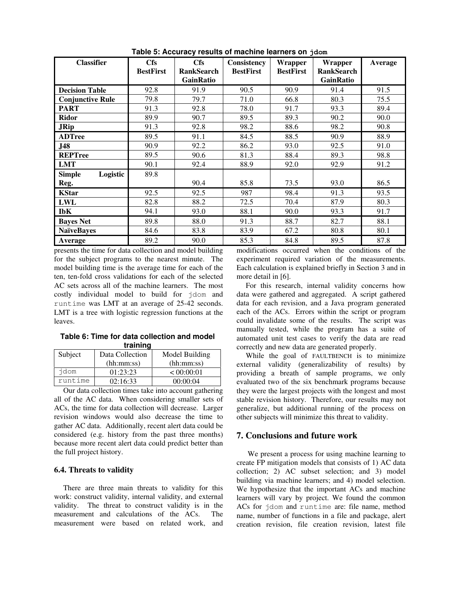| <b>Classifier</b>         | <b>Cfs</b>       | <b>Cfs</b>        | Consistency      | Wrapper          | Wrapper           | Average |
|---------------------------|------------------|-------------------|------------------|------------------|-------------------|---------|
|                           | <b>BestFirst</b> | <b>RankSearch</b> | <b>BestFirst</b> | <b>BestFirst</b> | <b>RankSearch</b> |         |
|                           |                  | <b>GainRatio</b>  |                  |                  | <b>GainRatio</b>  |         |
| <b>Decision Table</b>     | 92.8             | 91.9              | 90.5             | 90.9             | 91.4              | 91.5    |
| <b>Conjunctive Rule</b>   | 79.8             | 79.7              | 71.0             | 66.8             | 80.3              | 75.5    |
| <b>PART</b>               | 91.3             | 92.8              | 78.0             | 91.7             | 93.3              | 89.4    |
| <b>Ridor</b>              | 89.9             | 90.7              | 89.5             | 89.3             | 90.2              | 90.0    |
| <b>JRip</b>               | 91.3             | 92.8              | 98.2             | 88.6             | 98.2              | 90.8    |
| <b>ADTree</b>             | 89.5             | 91.1              | 84.5             | 88.5             | 90.9              | 88.9    |
| J48                       | 90.9             | 92.2              | 86.2             | 93.0             | 92.5              | 91.0    |
| <b>REPTree</b>            | 89.5             | 90.6              | 81.3             | 88.4             | 89.3              | 98.8    |
| <b>LMT</b>                | 90.1             | 92.4              | 88.9             | 92.0             | 92.9              | 91.2    |
| <b>Simple</b><br>Logistic | 89.8             |                   |                  |                  |                   |         |
| Reg.                      |                  | 90.4              | 85.8             | 73.5             | 93.0              | 86.5    |
| <b>KStar</b>              | 92.5             | 92.5              | 987              | 98.4             | 91.3              | 93.5    |
| <b>LWL</b>                | 82.8             | 88.2              | 72.5             | 70.4             | 87.9              | 80.3    |
| <b>IbK</b>                | 94.1             | 93.0              | 88.1             | 90.0             | 93.3              | 91.7    |
| <b>Bayes Net</b>          | 89.8             | 88.0              | 91.3             | 88.7             | 82.7              | 88.1    |
| <b>NaïveBayes</b>         | 84.6             | 83.8              | 83.9             | 67.2             | 80.8              | 80.1    |
| Average                   | 89.2             | 90.0              | 85.3             | 84.8             | 89.5              | 87.8    |

**Table 5: Accuracy results of machine learners on jdom**

presents the time for data collection and model building for the subject programs to the nearest minute. The model building time is the average time for each of the ten, ten-fold cross validations for each of the selected AC sets across all of the machine learners. The most costly individual model to build for jdom and runtime was LMT at an average of 25-42 seconds. LMT is a tree with logistic regression functions at the leaves.

**Table 6: Time for data collection and model training** 

| Subject | Data Collection<br>(hh:mm:ss) | Model Building<br>(hh:mm:ss) |
|---------|-------------------------------|------------------------------|
| idom    | 01:23:23                      | < 00:00:01                   |
| runtime | 02:16:33                      | 00:00:04                     |

Our data collection times take into account gathering all of the AC data. When considering smaller sets of ACs, the time for data collection will decrease. Larger revision windows would also decrease the time to gather AC data. Additionally, recent alert data could be considered (e.g. history from the past three months) because more recent alert data could predict better than the full project history.

#### **6.4. Threats to validity**

There are three main threats to validity for this work: construct validity, internal validity, and external validity. The threat to construct validity is in the measurement and calculations of the ACs. The measurement were based on related work, and modifications occurred when the conditions of the experiment required variation of the measurements. Each calculation is explained briefly in Section 3 and in more detail in [6].

For this research, internal validity concerns how data were gathered and aggregated. A script gathered data for each revision, and a Java program generated each of the ACs. Errors within the script or program could invalidate some of the results. The script was manually tested, while the program has a suite of automated unit test cases to verify the data are read correctly and new data are generated properly.

While the goal of FAULTBENCH is to minimize external validity (generalizability of results) by providing a breath of sample programs, we only evaluated two of the six benchmark programs because they were the largest projects with the longest and most stable revision history. Therefore, our results may not generalize, but additional running of the process on other subjects will minimize this threat to validity.

#### **7. Conclusions and future work**

 We present a process for using machine learning to create FP mitigation models that consists of 1) AC data collection; 2) AC subset selection; and 3) model building via machine learners; and 4) model selection. We hypothesize that the important ACs and machine learners will vary by project. We found the common ACs for jdom and runtime are: file name, method name, number of functions in a file and package, alert creation revision, file creation revision, latest file